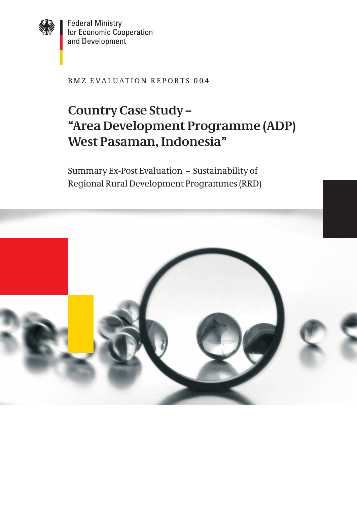

**Federal Ministry** for Economic Cooperation and Development

BMZ EVALUATION REPORTS 004

# **Country Case Study – "Area Development Programme (ADP) West Pasaman, Indonesia"**

summary Ex-post Evaluation – sustainability of Regional Rural Development programmes (RRD)

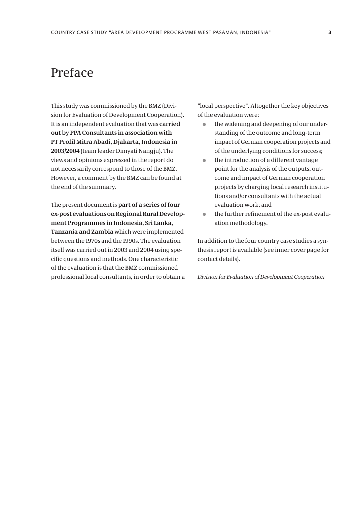## Preface

This study was commissioned by the BMZ (Division for Evaluation of Development Cooperation). It is an independent evaluation that was **carried out by PPA Consultants in association with PT Profil Mitra Abadi, Djakarta, Indonesia in 2003/2004** (team leader Dimyati Nangju). The views and opinions expressed in the report do not necessarily correspond to those of the BMZ. However, a comment by the BMZ can be found at the end of the summary.

The present document is **part of a series of four ex-post evaluations on Regional Rural Development Programmes in Indonesia, Sri Lanka, Tanzania and Zambia** which were implemented between the 1970s and the 1990s. The evaluation itself was carried out in 2003 and 2004 using specific questions and methods. One characteristic of the evaluation is that the BMZ commissioned professional local consultants, in order to obtain a "local perspective". Altogether the key objectives of the evaluation were:

- $\bullet$  the widening and deepening of our understanding of the outcome and long-term impact of German cooperation projects and of the underlying conditions for success;
- $\bullet$  the introduction of a different vantage point for the analysis of the outputs, outcome and impact of German cooperation projects by charging local research institutions and/or consultants with the actual evaluation work; and
- $\bullet$  the further refinement of the ex-post evaluation methodology.

In addition to the four country case studies a synthesis report is available (see inner cover page for contact details).

*Division for Evaluation of Development Cooperation*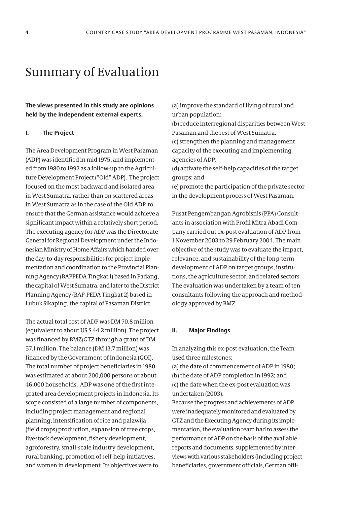### Summary of Evaluation

**The views presented in this study are opinions held by the independent external experts.**

#### **I. The Project**

The Area Development Program in West Pasaman (ADP) was identified in mid 1975, and implemented from 1980 to 1992 as a follow-up to the Agriculture Development Project ("Old" ADP). The project focused on the most backward and isolated area in West Sumatra, rather than on scattered areas in West Sumatra as in the case of the Old ADP, to ensure that the German assistance would achieve a significant impact within a relatively short period. The executing agency for ADP was the Directorate General for Regional Development under the Indonesian Ministry of Home Affairs which handed over the day-to-day responsibilities for project implementation and coordination to the Provincial Planning Agency (BAPPEDATingkat 1) based in Padang, the capital of West Sumatra, and later to the District Planning Agency (BAP-PEDA Tingkat 2) based in Lubuk Sikaping, the capital of Pasaman District.

The actual total cost of ADP was DM 70.8 million (equivalent to about US \$ 44.2 million). The project was financed by BMZ/GTZ through a grant of DM 57.1 million. The balance (DM 13.7 million) was financed by the Government of Indonesia (GOI). The total number of project beneficiaries in 1980 was estimated at about 200,000 persons or about 46,000 households. ADP was one of the first integrated area development projects in Indonesia. Its scope consisted of a large number of components, including project management and regional planning, intensification of rice and palawija (field crops) production, expansion of tree crops, livestock development, fishery development, agroforestry, small-scale industry development, rural banking, promotion of self-help initiatives, and women in development. Its objectives were to

(a) improve the standard of living of rural and urban population;

(b) reduce interregional disparities between West Pasaman and the rest of West Sumatra;

(c) strengthen the planning and management capacity of the executing and implementing agencies of ADP;

(d) activate the self-help capacities of the target groups; and

(e) promote the participation of the private sector in the development process of West Pasaman.

Pusat Pengembangan Agrobisnis (PPA) Consultants in association with Profil Mitra Abadi Company carried out ex-post evaluation of ADP from 1 November 2003 to 29 February 2004. The main objective of the study was to evaluate the impact, relevance, and sustainability of the long-term development of ADP on target groups, institutions, the agriculture sector, and related sectors. The evaluation was undertaken by a team of ten consultants following the approach and methodology approved by BMZ.

#### **II. Major Findings**

In analyzing this ex-post evaluation, the Team used three milestones:

(a) the date of commencement of ADP in 1980; (b) the date of ADP completion in 1992; and (c) the date when the ex-post evaluation was undertaken (2003).

Because the progress and achievements of ADP were inadequately monitored and evaluated by GTZ and the Executing Agency during its implementation, the evaluation team had to assess the performance of ADP on the basis of the available reports and documents, supplemented by interviews with various stakeholders (including project beneficiaries, government officials, German offi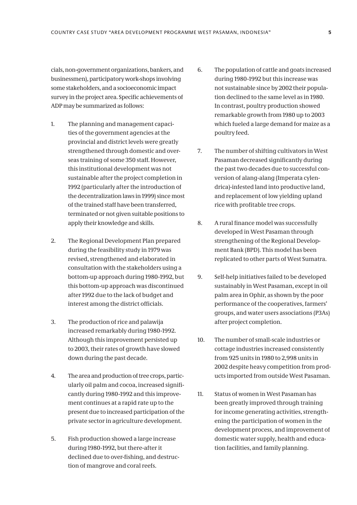cials, non-government organizations, bankers, and businessmen), participatory work-shops involving some stakeholders, and a socioeconomic impact survey in the project area. Specific achievements of ADP may be summarized as follows:

- 1. The planning and management capacities of the government agencies at the provincial and district levels were greatly strengthened through domestic and overseas training of some 350 staff. However, this institutional development was not sustainable after the project completion in 1992 (particularly after the introduction of the decentralization laws in 1999) since most of the trained staff have been transferred, terminated or not given suitable positions to apply their knowledge and skills.
- 2. The Regional Development Plan prepared during the feasibility study in 1979 was revised, strengthened and elaborated in consultation with the stakeholders using a bottom-up approach during 1980-1992, but this bottom-up approach was discontinued after 1992 due to the lack of budget and interest among the district officials.
- 3. The production of rice and palawija increased remarkably during 1980-1992. Although this improvement persisted up to 2003, their rates of growth have slowed down during the past decade.
- 4. The area and production of tree crops, particularly oil palm and cocoa, increased significantly during 1980-1992 and this improvement continues at a rapid rate up to the present due to increased participation of the private sector in agriculture development.
- 5. Fish production showed a large increase during 1980-1992, but there-after it declined due to over-fishing, and destruction of mangrove and coral reefs.
- 6. The population of cattle and goats increased during 1980-1992 but this increase was not sustainable since by 2002 their population declined to the same level as in 1980. In contrast, poultry production showed remarkable growth from 1980 up to 2003 which fueled a large demand for maize as a poultry feed.
- 7. The number of shifting cultivators in West Pasaman decreased significantly during the past two decades due to successful conversion of alang-alang (Imperata cylendrica)-infested land into productive land, and replacement of low yielding upland rice with profitable tree crops.
- 8. A rural finance model was successfully developed in West Pasaman through strengthening of the Regional Development Bank (BPD). This model has been replicated to other parts of West Sumatra.
- 9. Self-help initiatives failed to be developed sustainably in West Pasaman, except in oil palm area in Ophir, as shown by the poor performance of the cooperatives, farmers' groups, and water users associations (P3As) after project completion.
- 10. The number of small-scale industries or cottage industries increased consistently from 925 units in 1980 to 2,998 units in 2002 despite heavy competition from products imported from outside West Pasaman.
- 11. Status of women in West Pasaman has been greatly improved through training for income generating activities, strengthening the participation of women in the development process, and improvement of domestic water supply, health and education facilities, and family planning.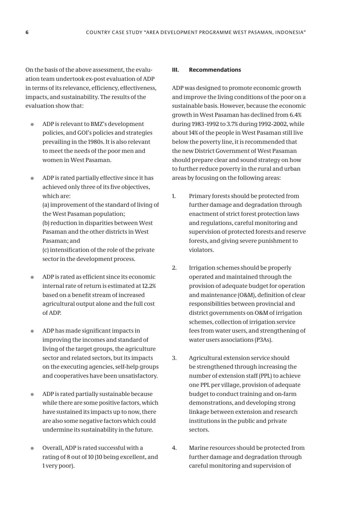On the basis of the above assessment, the evalu-**III. Recommendations** ation team undertook ex-post evaluation of ADP in terms of its relevance, efficiency, effectiveness, impacts, and sustainability. The results of the evaluation show that:

- ADP is relevant to BMZ's development  $\blacksquare$ policies, and GOI's policies and strategies prevailing in the 1980s. It is also relevant to meet the needs of the poor men and women in West Pasaman.
- ADP is rated partially effective since it has  $\bullet$ achieved only three of its five objectives, which are:

(a) improvement of the standard of living of the West Pasaman population: (b) reduction in disparities between West

Pasaman and the other districts in West Pasaman: and

(c) intensification of the role of the private sector in the development process.

- ADP is rated as efficient since its economic  $\blacksquare$ internal rate of return is estimated at 12.2% based on a benefit stream of increased agricultural output alone and the full cost of ADP.
- ADP has made significant impacts in  $\blacksquare$ improving the incomes and standard of living of the target groups, the agriculture sector and related sectors, but its impacts on the executing agencies, self-help groups and cooperatives have been unsatisfactory.
- ADP is rated partially sustainable because  $\overline{\phantom{0}}$ while there are some positive factors, which have sustained its impacts up to now, there are also some negative factors which could undermine its sustainability in the future.
- Overall, ADP is rated successful with a rating of 8 out of 10 (10 being excellent, and 1 very poor).

ADP was designed to promote economic growth and improve the living conditions of the poor on a sustainable basis. However, because the economic growth in West Pasaman has declined from 6.4% during 1983 -1992 to 3.7% during 1992-2002, while about 14% of the people in West Pasaman still live below the poverty line, it is recommended that the new District Government of West Pasaman should prepare clear and sound strategy on how to further reduce poverty in the rural and urban areas by focusing on the following areas:

- 1. Primary forests should be protected from further damage and degradation through enactment of strict forest protection laws and regulations, careful monitoring and supervision of protected forests and reserve forests, and giving severe punishment to violators.
- 2. Irrigation schemes should be properly operated and maintained through the provision of adequate budget for operation and maintenance (O&M), definition of clear responsibilities between provincial and district governments on O&M of irrigation schemes, collection of irrigation service fees from water users, and strengthening of water users associations (P3As).
- 3. Agricultural extension service should be strengthened through increasing the number of extension staff (PPL) to achieve one PPL per village, provision of adequate budget to conduct training and on-farm demonstrations, and developing strong linkage between extension and research institutions in the public and private sectors.
- 4. Marine resources should be protected from further damage and degradation through careful monitoring and supervision of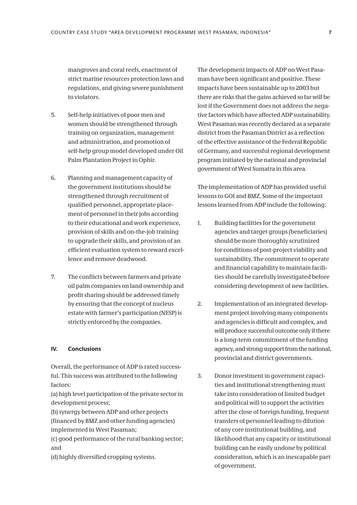mangroves and coral reefs, enactment of strict marine resources protection laws and regulations, and giving severe punishment to violators.

- 5. Self-help initiatives of poor men and women should be strengthened through training on organization, management and administration, and promotion of self-help group model developed under oil palm plantation project in ophir.
- 6. planning and management capacity of the government institutions should be strengthened through recruitment of qualified personnel, appropriate placement of personnel in their jobs according to their educational and work experience, provision of skills and on-the-job training to upgrade their skills, and provision of an efficient evaluation system to reward excellence and remove deadwood.
- 7. The conflicts between farmers and private oil palm companies on land ownership and profit sharing should be addressed timely by ensuring that the concept of nucleus estate with farmer's participation (nEsp) is strictly enforced by the companies.

### **IV. Conclusions**

overall, the performance of aDp is rated successful. This success was attributed to the following factors:

(a) high level participation of the private sector in development process;

(b) synergy between aDp and other projects (financed by BMZ and other funding agencies) implemented in West pasaman;

(c) good performance of the rural banking sector; and

(d) highly diversified cropping systems.

The development impacts of ADP on West Pasaman have been significant and positive. These impacts have been sustainable up to 2003 but there are risks that the gains achieved so far will be lost if the Government does not address the negative factors which have affected ADP sustainability. West Pasaman was recently declared as a separate district from the Pasaman District as a reflection of the effective assistance of the Federal Republic of Germany, and successful regional development program initiated by the national and provincial government of West Sumatra in this area.

The implementation of ADP has provided useful lessons to GOI and BMZ. Some of the important lessons learned from ADP include the following:

- 1. Building facilities for the government agencies and target groups (beneficiaries) should be more thoroughly scrutinized for conditions of post-project viability and sustainability. The commitment to operate and financial capability to maintain facilities should be carefully investigated before considering development of new facilities.
- 2. Implementation of an integrated development project involving many components and agencies is difficult and complex, and will produce successful outcome only if there is a long-term commitment of the funding agency, and strong support from the national, provincial and district governments.
- 3. Donor investment in government capacities and institutional strengthening must take into consideration of limited budget and political will to support the activities after the close of foreign funding, frequent transfers of personnel leading to dilution of any core institutional building, and likelihood that any capacity or institutional building can be easily undone by political consideration, which is an inescapable part of government.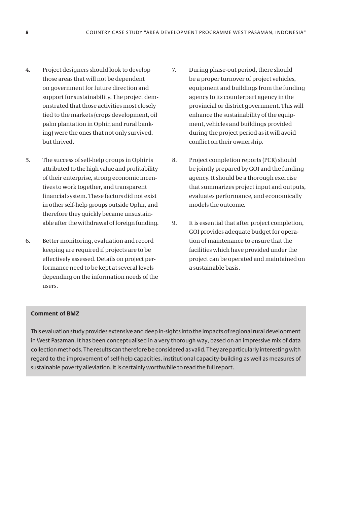- 4. Project designers should look to develop those areas that will not be dependent on government for future direction and support for sustainability. The project demonstrated that those activities most closely tied to the markets (crops development, oil palm plantation in Ophir, and rural banking) were the ones that not only survived, but thrived.
- 5. The success of self-help groups in Ophir is attributed to the high value and profitability of their enterprise, strong economic incentives to work together, and transparent financial system. These factors did not exist in other self-help groups outside Ophir, and therefore they quickly became unsustainable after the withdrawal of foreign funding.
- 6. Better monitoring, evaluation and record keeping are required if projects are to be effectively assessed. Details on project performance need to be kept at several levels depending on the information needs of the users.
- 7. During phase-out period, there should be a proper turnover of project vehicles, equipment and buildings from the funding agency to its counterpart agency in the provincial or district government. This will enhance the sustainability of the equipment, vehicles and buildings provided during the project period as it will avoid conflict on their ownership.
- 8. Project completion reports (PCR) should be jointly prepared by GOI and the funding agency. It should be a thorough exercise that summarizes project input and outputs, evaluates performance, and economically models the outcome.
- 9. It is essential that after project completion, GOI provides adequate budget for operation of maintenance to ensure that the facilities which have provided under the project can be operated and maintained on a sustainable basis.

### **Comment of BMZ**

This evaluation study provides extensive and deep in-sights into the impacts of regional rural development in West Pasaman. It has been conceptualised in a very thorough way, based on an impressive mix of data collection methods. The results can therefore be considered as valid. They are particularly interesting with regard to the improvement of self-help capacities, institutional capacity-building as well as measures of sustainable poverty alleviation. It is certainly worthwhile to read the full report.